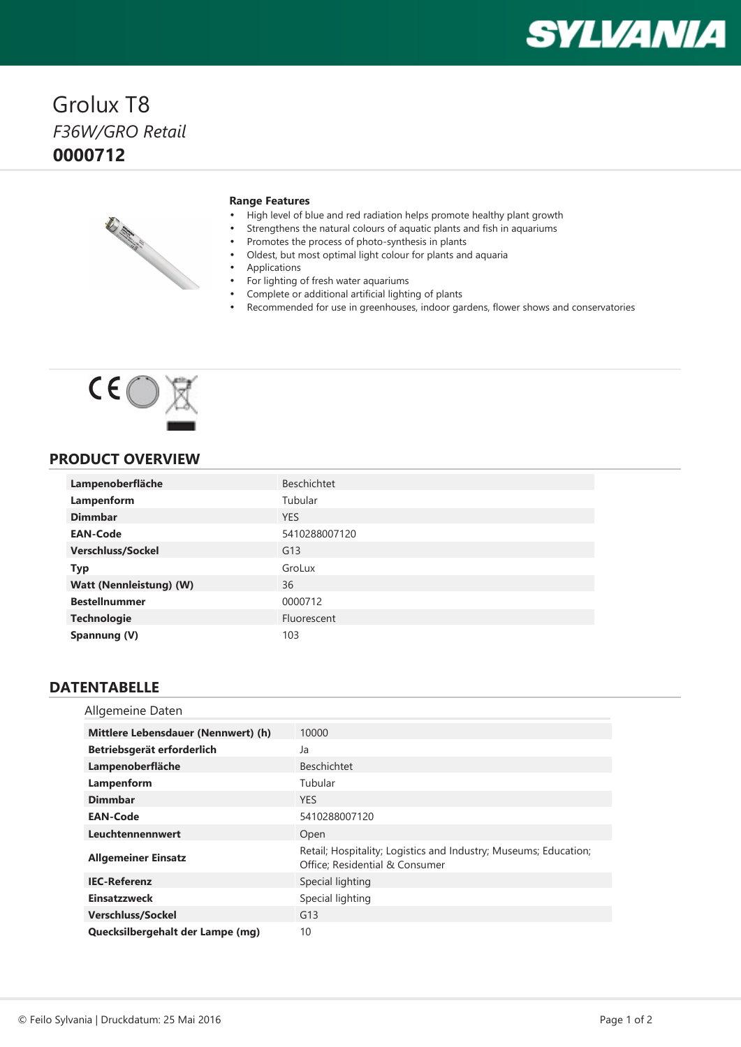# **SYLVANIA**

## Grolux T8 *F36W/GRO Retail* **0000712**



#### **Range Features**

- •High level of blue and red radiation helps promote healthy plant growth
- •Strengthens the natural colours of aquatic plants and fish in aquariums
- •Promotes the process of photo-synthesis in plants
- •Oldest, but most optimal light colour for plants and aquaria
- •Applications

•

- •For lighting of fresh water aquariums
- Complete or additional artificial lighting of plants
- •Recommended for use in greenhouses, indoor gardens, flower shows and conservatories



#### **PRODUCT OVERVIEW**

| Lampenoberfläche         | <b>Beschichtet</b> |
|--------------------------|--------------------|
| Lampenform               | Tubular            |
| <b>Dimmbar</b>           | <b>YES</b>         |
| <b>EAN-Code</b>          | 5410288007120      |
| <b>Verschluss/Sockel</b> | G13                |
| <b>Typ</b>               | GroLux             |
| Watt (Nennleistung) (W)  | 36                 |
| <b>Bestellnummer</b>     | 0000712            |
| <b>Technologie</b>       | Fluorescent        |
| Spannung (V)             | 103                |

#### **DATENTABELLE**

| Allgemeine Daten                    |                                                                                                    |
|-------------------------------------|----------------------------------------------------------------------------------------------------|
| Mittlere Lebensdauer (Nennwert) (h) | 10000                                                                                              |
| Betriebsgerät erforderlich          | Ja                                                                                                 |
| Lampenoberfläche                    | <b>Beschichtet</b>                                                                                 |
| Lampenform                          | Tubular                                                                                            |
| <b>Dimmbar</b>                      | <b>YES</b>                                                                                         |
| <b>EAN-Code</b>                     | 5410288007120                                                                                      |
| Leuchtennennwert                    | Open                                                                                               |
| <b>Allgemeiner Einsatz</b>          | Retail; Hospitality; Logistics and Industry; Museums; Education;<br>Office; Residential & Consumer |
| <b>IEC-Referenz</b>                 | Special lighting                                                                                   |
| <b>Einsatzzweck</b>                 | Special lighting                                                                                   |
| <b>Verschluss/Sockel</b>            | G13                                                                                                |
| Quecksilbergehalt der Lampe (mg)    | 10                                                                                                 |